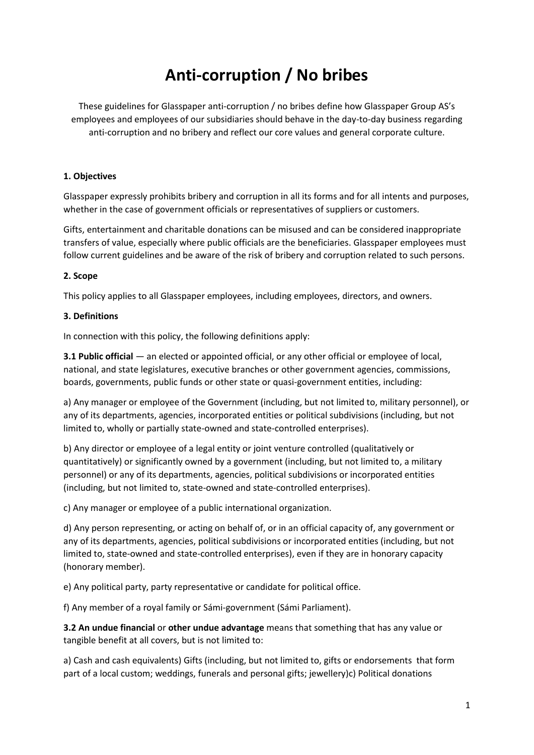# **Anti-corruption / No bribes**

These guidelines for Glasspaper anti-corruption / no bribes define how Glasspaper Group AS's employees and employees of our subsidiaries should behave in the day-to-day business regarding anti-corruption and no bribery and reflect our core values and general corporate culture.

### **1. Objectives**

Glasspaper expressly prohibits bribery and corruption in all its forms and for all intents and purposes, whether in the case of government officials or representatives of suppliers or customers.

Gifts, entertainment and charitable donations can be misused and can be considered inappropriate transfers of value, especially where public officials are the beneficiaries. Glasspaper employees must follow current guidelines and be aware of the risk of bribery and corruption related to such persons.

### **2. Scope**

This policy applies to all Glasspaper employees, including employees, directors, and owners.

### **3. Definitions**

In connection with this policy, the following definitions apply:

**3.1 Public official** — an elected or appointed official, or any other official or employee of local, national, and state legislatures, executive branches or other government agencies, commissions, boards, governments, public funds or other state or quasi-government entities, including:

a) Any manager or employee of the Government (including, but not limited to, military personnel), or any of its departments, agencies, incorporated entities or political subdivisions (including, but not limited to, wholly or partially state-owned and state-controlled enterprises).

b) Any director or employee of a legal entity or joint venture controlled (qualitatively or quantitatively) or significantly owned by a government (including, but not limited to, a military personnel) or any of its departments, agencies, political subdivisions or incorporated entities (including, but not limited to, state-owned and state-controlled enterprises).

c) Any manager or employee of a public international organization.

d) Any person representing, or acting on behalf of, or in an official capacity of, any government or any of its departments, agencies, political subdivisions or incorporated entities (including, but not limited to, state-owned and state-controlled enterprises), even if they are in honorary capacity (honorary member).

e) Any political party, party representative or candidate for political office.

f) Any member of a royal family or Sámi-government (Sámi Parliament).

**3.2 An undue financial** or **other undue advantage** means that something that has any value or tangible benefit at all covers, but is not limited to:

a) Cash and cash equivalents) Gifts (including, but not limited to, gifts or endorsements that form part of a local custom; weddings, funerals and personal gifts; jewellery)c) Political donations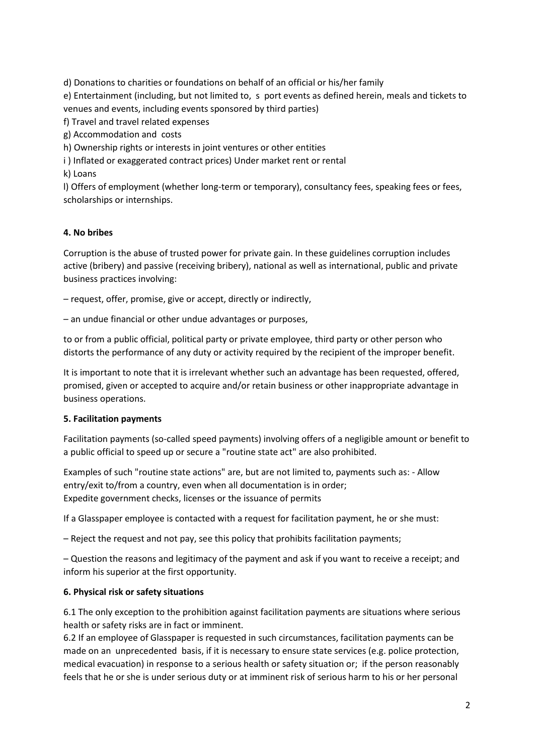d) Donations to charities or foundations on behalf of an official or his/her family e) Entertainment (including, but not limited to, s port events as defined herein, meals and tickets to venues and events, including events sponsored by third parties) f) Travel and travel related expenses

g) Accommodation and costs

h) Ownership rights or interests in joint ventures or other entities

i ) Inflated or exaggerated contract prices) Under market rent or rental

k) Loans

l) Offers of employment (whether long-term or temporary), consultancy fees, speaking fees or fees, scholarships or internships.

### **4. No bribes**

Corruption is the abuse of trusted power for private gain. In these guidelines corruption includes active (bribery) and passive (receiving bribery), national as well as international, public and private business practices involving:

– request, offer, promise, give or accept, directly or indirectly,

– an undue financial or other undue advantages or purposes,

to or from a public official, political party or private employee, third party or other person who distorts the performance of any duty or activity required by the recipient of the improper benefit.

It is important to note that it is irrelevant whether such an advantage has been requested, offered, promised, given or accepted to acquire and/or retain business or other inappropriate advantage in business operations.

# **5. Facilitation payments**

Facilitation payments (so-called speed payments) involving offers of a negligible amount or benefit to a public official to speed up or secure a "routine state act" are also prohibited.

Examples of such "routine state actions" are, but are not limited to, payments such as: - Allow entry/exit to/from a country, even when all documentation is in order; Expedite government checks, licenses or the issuance of permits

If a Glasspaper employee is contacted with a request for facilitation payment, he or she must:

– Reject the request and not pay, see this policy that prohibits facilitation payments;

– Question the reasons and legitimacy of the payment and ask if you want to receive a receipt; and inform his superior at the first opportunity.

# **6. Physical risk or safety situations**

6.1 The only exception to the prohibition against facilitation payments are situations where serious health or safety risks are in fact or imminent.

6.2 If an employee of Glasspaper is requested in such circumstances, facilitation payments can be made on an unprecedented basis, if it is necessary to ensure state services (e.g. police protection, medical evacuation) in response to a serious health or safety situation or; if the person reasonably feels that he or she is under serious duty or at imminent risk of serious harm to his or her personal